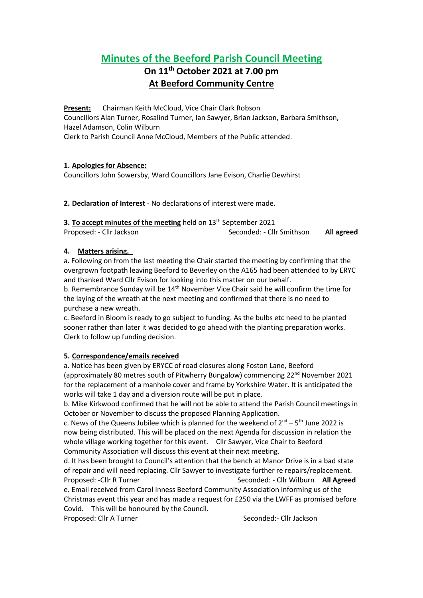# **Minutes of the Beeford Parish Council Meeting On 11th October 2021 at 7.00 pm**

## **At Beeford Community Centre**

**Present:** Chairman Keith McCloud, Vice Chair Clark Robson Councillors Alan Turner, Rosalind Turner, Ian Sawyer, Brian Jackson, Barbara Smithson, Hazel Adamson, Colin Wilburn Clerk to Parish Council Anne McCloud, Members of the Public attended.

## **1. Apologies for Absence:**

Councillors John Sowersby, Ward Councillors Jane Evison, Charlie Dewhirst

## **2. Declaration of Interest** - No declarations of interest were made.

| 3. To accept minutes of the meeting held on 13 <sup>th</sup> September 2021 |                           |            |
|-----------------------------------------------------------------------------|---------------------------|------------|
| Proposed: - Cllr Jackson                                                    | Seconded: - Cllr Smithson | All agreed |

## **4. Matters arising.**

a. Following on from the last meeting the Chair started the meeting by confirming that the overgrown footpath leaving Beeford to Beverley on the A165 had been attended to by ERYC and thanked Ward Cllr Evison for looking into this matter on our behalf.

b. Remembrance Sunday will be 14<sup>th</sup> November Vice Chair said he will confirm the time for the laying of the wreath at the next meeting and confirmed that there is no need to purchase a new wreath.

c. Beeford in Bloom is ready to go subject to funding. As the bulbs etc need to be planted sooner rather than later it was decided to go ahead with the planting preparation works. Clerk to follow up funding decision.

## **5. Correspondence/emails received**

a. Notice has been given by ERYCC of road closures along Foston Lane, Beeford (approximately 80 metres south of Pitwherry Bungalow) commencing  $22<sup>nd</sup>$  November 2021 for the replacement of a manhole cover and frame by Yorkshire Water. It is anticipated the works will take 1 day and a diversion route will be put in place.

b. Mike Kirkwood confirmed that he will not be able to attend the Parish Council meetings in October or November to discuss the proposed Planning Application.

c. News of the Queens Jubilee which is planned for the weekend of  $2^{nd} - 5^{th}$  June 2022 is now being distributed. This will be placed on the next Agenda for discussion in relation the whole village working together for this event. Cllr Sawyer, Vice Chair to Beeford Community Association will discuss this event at their next meeting.

d. It has been brought to Council's attention that the bench at Manor Drive is in a bad state of repair and will need replacing. Cllr Sawyer to investigate further re repairs/replacement. Proposed: -Cllr R Turner Seconded: - Cllr Wilburn **All Agreed**

e. Email received from Carol Inness Beeford Community Association informing us of the Christmas event this year and has made a request for £250 via the LWFF as promised before Covid. This will be honoured by the Council.

Proposed: Cllr A Turner Seconded:- Cllr Jackson